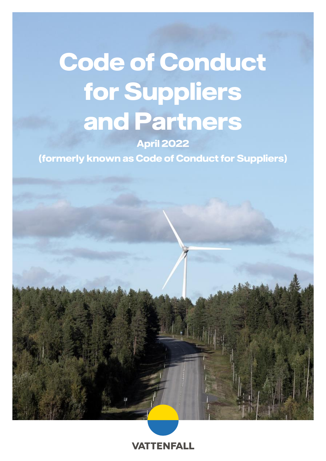# **Code of Conduct for Suppliers and Partners**

**April 2022**

**(formerly known as Code of Conduct for Suppliers)**



**VATTENFALL**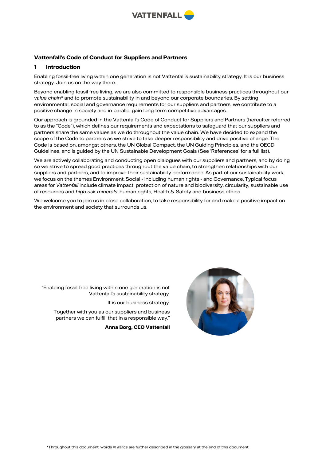

# **Vattenfall's Code of Conduct for Suppliers and Partners**

## **1 Introduction**

Enabling fossil-free living within one generation is not Vattenfall's sustainability strategy. It is our business strategy. Join us on the way there.

Beyond enabling fossil free living, we are also committed to responsible business practices throughout our *value chain\** and to promote sustainability in and beyond our corporate boundaries. By setting environmental, social and governance requirements for our suppliers and partners, we contribute to a positive change in society and in parallel gain long-term competitive advantages.

Our approach is grounded in the Vattenfall's Code of Conduct for Suppliers and Partners (hereafter referred to as the "Code"), which defines our requirements and expectations to safeguard that our suppliers and partners share the same values as we do throughout the value chain. We have decided to expand the scope of the Code to partners as we strive to take deeper responsibility and drive positive change. The Code is based on, amongst others, the UN Global Compact, the UN Guiding Principles, and the OECD Guidelines, and is guided by the UN Sustainable Development Goals (See 'References' for a full list).

We are actively collaborating and conducting open dialogues with our suppliers and partners, and by doing so we strive to spread good practices throughout the value chain, to strengthen relationships with our suppliers and partners, and to improve their sustainability performance. As part of our sustainability work, we focus on the themes Environment, Social - including human rights - and Governance. Typical focus areas for *Vattenfall* include climate impact, protection of nature and biodiversity, circularity, sustainable use of resources and *high risk minerals*, human rights, Health & Safety and business ethics.

We welcome you to join us in close collaboration, to take responsibility for and make a positive impact on the environment and society that surrounds us.

''Enabling fossil-free living within one generation is not Vattenfall's sustainability strategy.

It is our business strategy.

Together with you as our suppliers and business partners we can fulfill that in a responsible way.''

**Anna Borg, CEO Vattenfall**

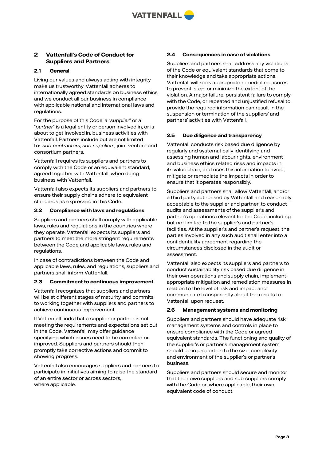

# **2 Vattenfall's Code of Conduct for Suppliers and Partners**

## **2.1 General**

Living our values and always acting with integrity make us trustworthy. Vattenfall adheres to internationally agreed standards on business ethics, and we conduct all our business in compliance with applicable national and international laws and regulations.

For the purpose of this Code, a "*supplier*" or a "*partner*" is a legal entity or person involved in, or is about to get involved in, business activities with Vattenfall. Partners include but are not limited to: *sub-contractors, sub-suppliers,* joint venture and consortium partners.

Vattenfall requires its suppliers and partners to comply with the Code or an equivalent standard, agreed together with Vattenfall, when doing business with Vattenfall.

Vattenfall also expects its suppliers and partners to ensure their supply chains adhere to equivalent standards as expressed in this Code.

## **2.2 Compliance with laws and regulations**

Suppliers and partners shall comply with applicable laws, rules and regulations in the countries where they operate. Vattenfall expects its suppliers and partners to meet the more stringent requirements between the Code and applicable laws, rules and regulations.

In case of contradictions between the Code and applicable laws, rules, and regulations, suppliers and partners shall inform Vattenfall.

#### **2.3 Commitment to continuous improvement**

Vattenfall recognizes that suppliers and partners will be at different stages of maturity and commits to working together with suppliers and partners to achieve continuous improvement.

If Vattenfall finds that a supplier or partner is not meeting the requirements and expectations set out in the Code, Vattenfall may offer guidance specifying which issues need to be corrected or improved. Suppliers and partners should then promptly take corrective actions and commit to showing progress.

Vattenfall also encourages suppliers and partners to participate in initiatives aiming to raise the standard of an entire sector or across sectors, where applicable.

## **2.4 Consequences in case of violations**

Suppliers and partners shall address any violations of the Code or equivalent standards that come to their knowledge and take appropriate actions. Vattenfall will seek appropriate remedial measures to prevent, stop, or minimize the extent of the violation. A major failure, persistent failure to comply with the Code, or repeated and unjustified refusal to provide the required information can result in the suspension or termination of the suppliers' and partners' activities with Vattenfall.

## **2.5 Due diligence and transparency**

Vattenfall conducts risk based due diligence by regularly and systematically identifying and assessing human and labour rights, environment and business ethics related risks and impacts in its value chain*,* and uses this information to avoid, mitigate or remediate the impacts in order to ensure that it operates responsibly.

Suppliers and partners shall allow Vattenfall, and/or a third party authorised by Vattenfall and reasonably acceptable to the supplier and partner, to conduct audits and assessments of the supplier's and partner's operations relevant for the Code, including but not limited to the supplier's and partner's facilities. At the supplier's and partner's request, the parties involved in any such audit shall enter into a confidentiality agreement regarding the circumstances disclosed in the audit or assessment.

Vattenfall also expects its suppliers and partners to conduct sustainability risk based due diligence in their own operations and supply chain, implement appropriate mitigation and remediation measures in relation to the level of risk and impact and communicate transparently about the results to Vattenfall upon request.

## **2.6 Management systems and monitoring**

Suppliers and partners should have adequate risk management systems and controls in place to ensure compliance with the Code or agreed equivalent standards. The functioning and quality of the supplier's or partner's management system should be in proportion to the size, complexity and environment of the supplier's or partner's business.

Suppliers and partners should secure and monitor that their own suppliers and sub-suppliers comply with the Code or, where applicable, their own equivalent code of conduct.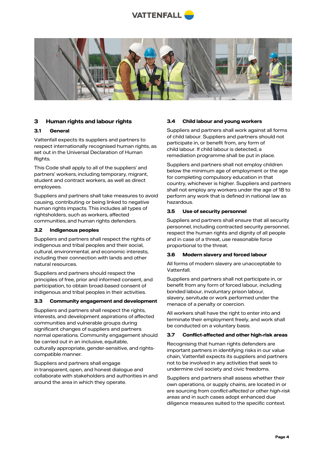



## **3 Human rights and labour rights**

### **3.1 General**

Vattenfall expects its suppliers and partners to respect internationally recognised human rights, as set out in the Universal Declaration of Human Rights.

This Code shall apply to all of the suppliers' and partners' workers, including temporary, migrant, student and contract workers, as well as direct employees.

Suppliers and partners shall take measures to avoid causing, contributing or being linked to negative human rights impacts. This includes all types of rightsholders, such as workers, affected communities, and human rights defenders.

#### **3.2 Indigenous peoples**

Suppliers and partners shall respect the rights of indigenous and tribal peoples and their social, cultural, environmental, and economic interests, including their connection with lands and other natural resources.

Suppliers and partners should respect the principles of free, prior and informed consent, and participation, to obtain broad-based consent of indigenous and tribal peoples in their activities.

## **3.3 Community engagement and development**

Suppliers and partners shall respect the rights, interests, and development aspirations of affected communities and vulnerable groups during significant changes of suppliers and partners normal operations. Community engagement should be carried out in an inclusive, equitable, culturally appropriate, gender-sensitive, and rightscompatible manner.

Suppliers and partners shall engage in transparent, open, and honest dialogue and collaborate with stakeholders and authorities in and around the area in which they operate.

#### **3.4 Child labour and young workers**

Suppliers and partners shall work against all forms of child labour. Suppliers and partners should not participate in, or benefit from, any form of child labour. If child labour is detected, a remediation programme shall be put in place.

Suppliers and partners shall not employ children below the minimum age of employment or the age for completing compulsory education in that country, whichever is higher. Suppliers and partners shall not employ any workers under the age of 18 to perform any work that is defined in national law as hazardous.

## **3.5 Use of security personnel**

Suppliers and partners shall ensure that all security personnel, including contracted security personnel, respect the human rights and dignity of all people and in case of a threat, use reasonable force proportional to the threat.

## **3.6 Modern slavery and forced labour**

All forms of modern slavery are unacceptable to **Vattenfall** 

Suppliers and partners shall not participate in, or benefit from any form of forced labour, including bonded labour, involuntary prison labour, slavery, servitude or work performed under the menace of a penalty or coercion.

All workers shall have the right to enter into and terminate their employment freely, and work shall be conducted on a voluntary basis.

#### **3.7 Conflict-affected and other high-risk areas**

Recognising that human rights defenders are important partners in identifying risks in our value chain, Vattenfall expects its suppliers and partners not to be involved in any activities that seek to undermine civil society and civic freedoms.

Suppliers and partners shall assess whether their own operations, or supply chains, are located in or are sourcing from *conflict-affected or other high-risk areas* and in such cases adopt enhanced due diligence measures suited to the specific context.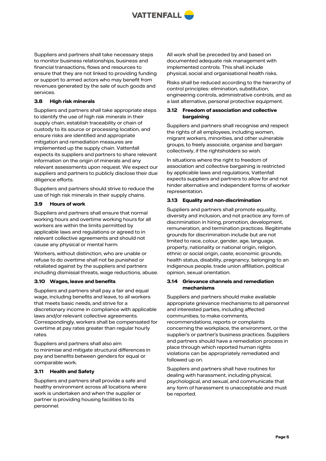

Suppliers and partners shall take necessary steps to monitor business relationships, business and financial transactions, flows and resources to ensure that they are not linked to providing funding or support to armed actors who may benefit from revenues generated by the sale of such goods and services.

## **3.8 High risk minerals**

Suppliers and partners shall take appropriate steps to identify the use of high risk minerals in their supply chain, establish traceability or chain of custody to its source or processing location, and ensure risks are identified and appropriate mitigation and remediation measures are implemented up the supply chain. Vattenfall expects its suppliers and partners to share relevant information on the origin of minerals and any relevant assessments upon request. We expect our suppliers and partners to publicly disclose their due diligence efforts.

Suppliers and partners should strive to reduce the use of high risk minerals in their supply chains.

## **3.9 Hours of work**

Suppliers and partners shall ensure that normal working hours and overtime working hours for all workers are within the limits permitted by applicable laws and regulations or agreed to in relevant collective agreements and should not cause any physical or mental harm.

Workers, without distinction, who are unable or refuse to do overtime shall not be punished or retaliated against by the suppliers and partners including dismissal threats, wage reductions, abuse.

#### **3.10 Wages, leave and benefits**

Suppliers and partners shall pay a fair and equal wage, including benefits and leave, to all workers that meets basic needs, and strive for a discretionary income in compliance with applicable laws and/or relevant collective agreements. Correspondingly, workers shall be compensated for overtime at pay rates greater than regular hourly rates.

Suppliers and partners shall also aim to minimise and mitigate structural differences in pay and benefits between genders for equal or comparable work.

## **3.11 Health and Safety**

Suppliers and partners shall provide a safe and healthy environment across all locations where work is undertaken and when the supplier or partner is providing housing facilities to its personnel.

All work shall be preceded by and based on documented adequate risk management with implemented controls. This shall include physical, social and organisational health risks.

Risks shall be reduced according to the hierarchy of control principles: elimination, substitution, engineering controls, administrative controls, and as a last alternative, personal protective equipment.

## **3.12 Freedom of association and collective bargaining**

Suppliers and partners shall recognise and respect the rights of all employees, including women, migrant workers, minorities, and other vulnerable groups, to freely associate, organise and bargain collectively, if the rightsholders so wish.

In situations where the right to freedom of association and collective bargaining is restricted by applicable laws and regulations, Vattenfall expects suppliers and partners to allow for and not hinder alternative and independent forms of worker representation.

## **3.13 Equality and non-discrimination**

Suppliers and partners shall promote equality, diversity and inclusion, and not practice any form of discrimination in hiring, promotion, development, remuneration, and termination practices. Illegitimate grounds for discrimination include but are not limited to race, colour, gender, age, language, property, nationality or national origin, religion, ethnic or social origin, caste, economic grounds, health status, disability, pregnancy, belonging to an indigenous people, trade union affiliation, political opinion, sexual orientation.

## **3.14 Grievance channels and remediation mechanisms**

Suppliers and partners should make available appropriate grievance mechanisms to all personnel and interested parties, including affected communities, to make comments, recommendations, reports or complaints concerning the workplace, the environment, or the supplier's or partner's business practices. Suppliers and partners should have a remediation process in place through which reported human rights violations can be appropriately remediated and followed up on.

Suppliers and partners shall have routines for dealing with harassment, including physical, psychological, and sexual, and communicate that any form of harassment is unacceptable and must be reported.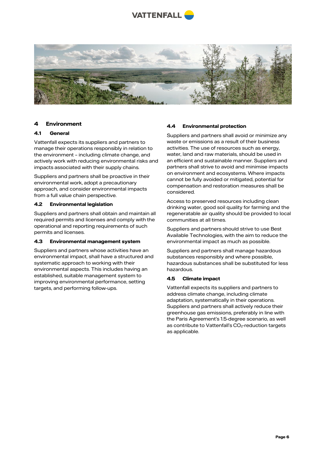



## **4 Environment**

## **4.1 General**

Vattenfall expects its suppliers and partners to manage their operations responsibly in relation to the environment – including climate change, and actively work with reducing environmental risks and impacts associated with their supply chains.

Suppliers and partners shall be proactive in their environmental work, adopt a precautionary approach, and consider environmental impacts from a full value chain perspective.

#### **4.2 Environmental legislation**

Suppliers and partners shall obtain and maintain all required permits and licenses and comply with the operational and reporting requirements of such permits and licenses.

#### **4.3 Environmental management system**

Suppliers and partners whose activities have an environmental impact, shall have a structured and systematic approach to working with their environmental aspects. This includes having an established, suitable management system to improving environmental performance, setting targets, and performing follow-ups.

## **4.4 Environmental protection**

Suppliers and partners shall avoid or minimize any waste or emissions as a result of their business activities. The use of resources such as energy, water, land and raw materials, should be used in an efficient and sustainable manner. Suppliers and partners shall strive to avoid and minimise impacts on environment and ecosystems. Where impacts cannot be fully avoided or mitigated, potential for compensation and restoration measures shall be considered.

Access to preserved resources including clean drinking water, good soil quality for farming and the regeneratable air quality should be provided to local communities at all times.

Suppliers and partners should strive to use Best Available Technologies, with the aim to reduce the environmental impact as much as possible.

Suppliers and partners shall manage hazardous substances responsibly and where possible, hazardous substances shall be substituted for less hazardous.

## **4.5 Climate impact**

Vattenfall expects its suppliers and partners to address climate change, including climate adaptation, systematically in their operations. Suppliers and partners shall actively reduce their greenhouse gas emissions, preferably in line with the Paris Agreement's 1.5-degree scenario, as well as contribute to Vattenfall's CO<sub>2</sub>-reduction targets as applicable.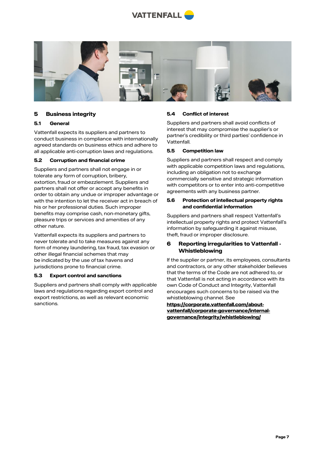



## **5 Business integrity**

## **5.1 General**

Vattenfall expects its suppliers and partners to conduct business in compliance with internationally agreed standards on business ethics and adhere to all applicable anti-corruption laws and regulations.

## **5.2 Corruption and financial crime**

Suppliers and partners shall not engage in or tolerate any form of corruption, bribery, extortion, fraud or embezzlement. Suppliers and partners shall not offer or accept any benefits in order to obtain any undue or improper advantage or with the intention to let the receiver act in breach of his or her professional duties. Such improper benefits may comprise cash, non-monetary gifts, pleasure trips or services and amenities of any other nature.

Vattenfall expects its suppliers and partners to never tolerate and to take measures against any form of money laundering, tax fraud, tax evasion or other illegal financial schemes that may be indicated by the use of tax havens and jurisdictions prone to financial crime.

#### **5.3 Export control and sanctions**

Suppliers and partners shall comply with applicable laws and regulations regarding export control and export restrictions, as well as relevant economic sanctions.

## **5.4 Conflict of interest**

Suppliers and partners shall avoid conflicts of interest that may compromise the supplier's or partner's credibility or third parties' confidence in Vattenfall.

## **5.5 Competition law**

Suppliers and partners shall respect and comply with applicable competition laws and regulations, including an obligation not to exchange commercially sensitive and strategic information with competitors or to enter into anti-competitive agreements with any business partner.

## **5.6 Protection of intellectual property rights and confidential information**

Suppliers and partners shall respect Vattenfall's intellectual property rights and protect Vattenfall's information by safeguarding it against misuse, theft, fraud or improper disclosure.

## **6 Reporting irregularities to Vattenfall - Whistleblowing**

If the supplier or partner, its employees, consultants and contractors, or any other stakeholder believes that the terms of the Code are not adhered to, or that Vattenfall is not acting in accordance with its own Code of Conduct and Integrity, Vattenfall encourages such concerns to be raised via the whistleblowing channel. See

**[https://corporate.vattenfall.com/about](https://corporate.vattenfall.com/about-vattenfall/corporate-governance/internal-governance/integrity/whistleblowing/)[vattenfall/corporate-governance/internal](https://corporate.vattenfall.com/about-vattenfall/corporate-governance/internal-governance/integrity/whistleblowing/)[governance/integrity/whistleblowing/](https://corporate.vattenfall.com/about-vattenfall/corporate-governance/internal-governance/integrity/whistleblowing/)**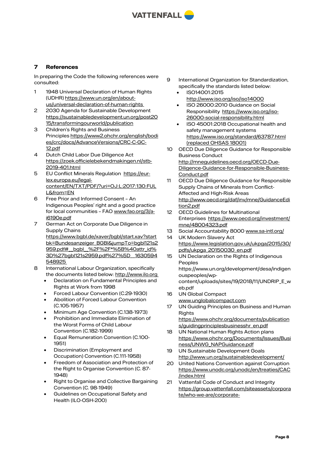

# **7 References**

In preparing the Code the following references were consulted:

- 1 1948 Universal Declaration of Human Rights (UDHR) https://www.un.org/en/aboutus/universal-declaration-of-human-rights
- 2 2030 Agenda for Sustainable Development [https://sustainabledevelopment.un.org/post20](https://sustainabledevelopment.un.org/post2015/transformingourworld/publication) [15/transformingourworld/publication](https://sustainabledevelopment.un.org/post2015/transformingourworld/publication)
- 3 Children's Rights and Business Principles https://www2.ohchr.org/english/bodi es/crc/docs/AdvanceVersions/CRC-C-GC-12.pdf
- 4 Dutch Child Labor Due Diligence Act [https://zoek.officielebekendmakingen.nl/stb-](https://zoek.officielebekendmakingen.nl/stb-2019-401.html)[2019-401.html](https://zoek.officielebekendmakingen.nl/stb-2019-401.html)
- 5 EU Conflict Minerals Regulation [https://eur](https://eur-lex.europa.eu/legal-content/EN/TXT/PDF/?uri=OJ:L:2017:130:FULL&from=EN)[lex.europa.eu/legal](https://eur-lex.europa.eu/legal-content/EN/TXT/PDF/?uri=OJ:L:2017:130:FULL&from=EN)[content/EN/TXT/PDF/?uri=OJ:L:2017:130:FUL](https://eur-lex.europa.eu/legal-content/EN/TXT/PDF/?uri=OJ:L:2017:130:FULL&from=EN) [L&from=EN](https://eur-lex.europa.eu/legal-content/EN/TXT/PDF/?uri=OJ:L:2017:130:FULL&from=EN)
- 6 Free Prior and Informed Consent An Indigenous Peoples' right and a good practice for local communities – FAO [www.fao.org/3/a](http://www.fao.org/3/a-i6190e.pdf)[i6190e.pdf](http://www.fao.org/3/a-i6190e.pdf)
- 7 German Act on Corporate Due Diligence in Supply Chains https://www.bgbl.de/xaver/bgbl/start.xav?start bk=Bundesanzeiger\_BGBl&jumpTo=bgbl121s2 959.pdf#\_bgbl\_%2F%2F\*%5B%40attr\_id% 3D%27bgbl121s2959.pdf%27%5D\_\_1630594 548925
- 8 International Labour Organization, specifically the documents listed below[: http://www.ilo.org](http://www.ilo.org )
	- Declaration on Fundamental Principles and Rights at Work from 1998
	- Forced Labour Convention (C.29-1930)
	- Abolition of Forced Labour Convention (C.105-1957)
	- Minimum Age Convention (C.138-1973)
	- Prohibition and Immediate Elimination of the Worst Forms of Child Labour Convention (C.182-1999)
	- Equal Remuneration Convention (C.100- 1951)
	- Discrimination (Employment and Occupation) Convention (C.111-1958)
	- Freedom of Association and Protection of the Right to Organise Convention (C. 87- 1948)
	- Right to Organise and Collective Bargaining Convention (C. 98-1949)
	- Guidelines on Occupational Safety and Health (ILO-OSH-200)
- 9 International Organization for Standardization, specifically the standards listed below:
	- ISO14001:2015 <http://www.iso.org/iso/iso14000>
	- ISO 26000:2010 Guidance on Social Responsibility https://www.iso.org/iso-26000-social-responsibility.html
	- ISO 45001:2018 Occupational health and safety management systems <https://www.iso.org/standard/63787.html> (replaced OHSAS 18001)
- 10 OECD Due Diligence Guidance for Responsible Business Conduct http://mneguidelines.oecd.org/OECD-Due-Diligence-Guidance-for-Responsible-Business-Conduct.pdf
- 11 OECD Due Diligence Guidance for Responsible Supply Chains of Minerals from Conflict-Affected and High-Risk Areas [http://www.oecd.org/daf/inv/mne/GuidanceEdi](http://www.oecd.org/daf/inv/mne/GuidanceEdition2.pdf) [tion2.pdf](http://www.oecd.org/daf/inv/mne/GuidanceEdition2.pdf)
- 12 OECD Guidelines for Multinational Enterprises https://www.oecd.org/investment/ mne/48004323.pdf
- 13 Social Accountability 8000 [www.sa-intl.org/](http://www.sa-intl.org/) 14 UK Modern Slavery Act
- https://www.legislation.gov.uk/ukpga/2015/30/ pdfs/ukpga\_20150030\_en.pdf
- 15 UN Declaration on the Rights of Indigenous Peoples https://www.un.org/development/desa/indigen ouspeoples/wpcontent/uploads/sites/19/2018/11/UNDRIP\_E\_w eb.pdf
- 16 UN Global Compact [www.unglobalcompact.com](http://www.unglobalcompact.com/)
- 17 UN Guiding Principles on Business and Human **Rights** [https://www.ohchr.org/documents/publication](https://www.ohchr.org/documents/publications/guidingprinciplesbusinesshr_en.pdf) [s/guidingprinciplesbusinesshr\\_en.pdf](https://www.ohchr.org/documents/publications/guidingprinciplesbusinesshr_en.pdf)
- 18 UN National Human Rights Action plans https://www.ohchr.org/Documents/Issues/Busi ness/UNWG\_NAPGuidance.pdf
- 19 UN Sustainable Development Goals <http://www.un.org/sustainabledevelopment/>
- 20 United Nations Convention against Corruption [https://www.unodc.org/unodc/en/treaties/CAC](https://www.unodc.org/unodc/en/treaties/CAC/index.html) [/index.html](https://www.unodc.org/unodc/en/treaties/CAC/index.html)
- 21 Vattenfall Code of Conduct and Integrity [https://group.vattenfall.com/siteassets/corpora](https://group.vattenfall.com/siteassets/corporate/who-we-are/corporate-governance/doc/code_of_conduct_180819_en2.pdf) [te/who-we-are/corporate-](https://group.vattenfall.com/siteassets/corporate/who-we-are/corporate-governance/doc/code_of_conduct_180819_en2.pdf)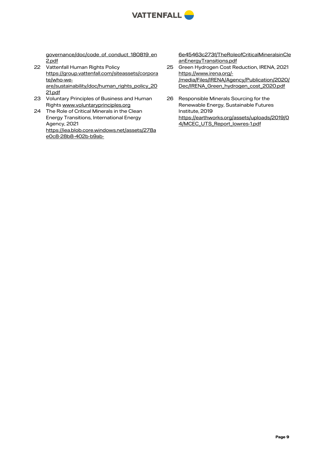

[governance/doc/code\\_of\\_conduct\\_180819\\_en](https://group.vattenfall.com/siteassets/corporate/who-we-are/corporate-governance/doc/code_of_conduct_180819_en2.pdf) [2.pdf](https://group.vattenfall.com/siteassets/corporate/who-we-are/corporate-governance/doc/code_of_conduct_180819_en2.pdf)

- 22 Vattenfall Human Rights Policy [https://group.vattenfall.com/siteassets/corpora](https://group.vattenfall.com/siteassets/corporate/who-we-are/sustainability/doc/human_rights_policy_2021.pdf) [te/who-we](https://group.vattenfall.com/siteassets/corporate/who-we-are/sustainability/doc/human_rights_policy_2021.pdf)[are/sustainability/doc/human\\_rights\\_policy\\_20](https://group.vattenfall.com/siteassets/corporate/who-we-are/sustainability/doc/human_rights_policy_2021.pdf) [21.pdf](https://group.vattenfall.com/siteassets/corporate/who-we-are/sustainability/doc/human_rights_policy_2021.pdf)
- 23 Voluntary Principles of Business and Human Rights [www.voluntaryprinciples.org](http://www.voluntaryprinciples.org/)
- 24 The Role of Critical Minerals in the Clean Energy Transitions, International Energy Agency, 2021 [https://iea.blob.core.windows.net/assets/278a](https://iea.blob.core.windows.net/assets/278ae0c8-28b8-402b-b9ab-6e45463c273f/TheRoleofCriticalMineralsinCleanEnergyTransitions.pdf) [e0c8-28b8-402b-b9ab-](https://iea.blob.core.windows.net/assets/278ae0c8-28b8-402b-b9ab-6e45463c273f/TheRoleofCriticalMineralsinCleanEnergyTransitions.pdf)

[6e45463c273f/TheRoleofCriticalMineralsinCle](https://iea.blob.core.windows.net/assets/278ae0c8-28b8-402b-b9ab-6e45463c273f/TheRoleofCriticalMineralsinCleanEnergyTransitions.pdf) [anEnergyTransitions.pdf](https://iea.blob.core.windows.net/assets/278ae0c8-28b8-402b-b9ab-6e45463c273f/TheRoleofCriticalMineralsinCleanEnergyTransitions.pdf)

- 25 Green Hydrogen Cost Reduction, IRENA, 2021 [https://www.irena.org/-](https://www.irena.org/-/media/Files/IRENA/Agency/Publication/2020/Dec/IRENA_Green_hydrogen_cost_2020.pdf) [/media/Files/IRENA/Agency/Publication/2020/](https://www.irena.org/-/media/Files/IRENA/Agency/Publication/2020/Dec/IRENA_Green_hydrogen_cost_2020.pdf) Dec/IRENA Green\_hydrogen\_cost\_2020.pdf
- 26 Responsible Minerals Sourcing for the Renewable Energy, Sustainable Futures Institute, 2019 [https://earthworks.org/assets/uploads/2019/0](https://earthworks.org/assets/uploads/2019/04/MCEC_UTS_Report_lowres-1.pdf) [4/MCEC\\_UTS\\_Report\\_lowres-1.pdf](https://earthworks.org/assets/uploads/2019/04/MCEC_UTS_Report_lowres-1.pdf)